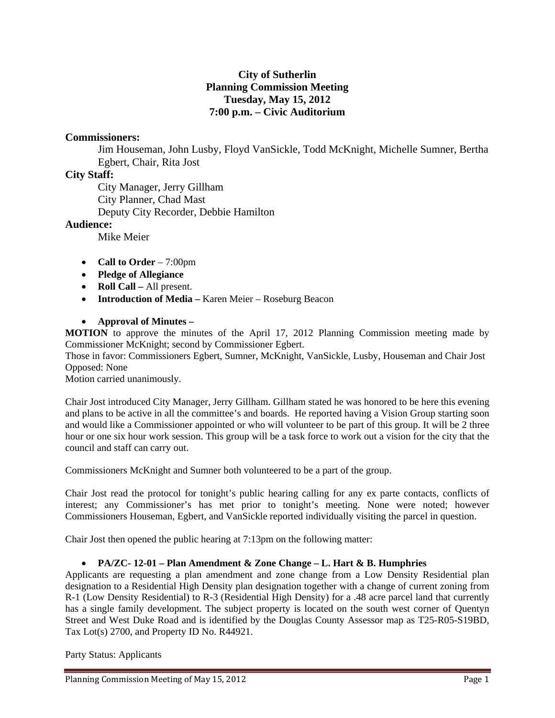# **City of Sutherlin Planning Commission Meeting Tuesday, May 15, 2012 7:00 p.m. – Civic Auditorium**

# **Commissioners:**

Jim Houseman, John Lusby, Floyd VanSickle, Todd McKnight, Michelle Sumner, Bertha Egbert, Chair, Rita Jost

# **City Staff:**

 City Manager, Jerry Gillham City Planner, Chad Mast Deputy City Recorder, Debbie Hamilton

#### **Audience:**

Mike Meier

- **Call to Order** 7:00pm
- **Pledge of Allegiance**
- **Roll Call All present.**
- **Introduction of Media Karen Meier Roseburg Beacon**
- **Approval of Minutes**

**MOTION** to approve the minutes of the April 17, 2012 Planning Commission meeting made by Commissioner McKnight; second by Commissioner Egbert.

Those in favor: Commissioners Egbert, Sumner, McKnight, VanSickle, Lusby, Houseman and Chair Jost Opposed: None

Motion carried unanimously.

Chair Jost introduced City Manager, Jerry Gillham. Gillham stated he was honored to be here this evening and plans to be active in all the committee's and boards. He reported having a Vision Group starting soon and would like a Commissioner appointed or who will volunteer to be part of this group. It will be 2 three hour or one six hour work session. This group will be a task force to work out a vision for the city that the council and staff can carry out.

Commissioners McKnight and Sumner both volunteered to be a part of the group.

Chair Jost read the protocol for tonight's public hearing calling for any ex parte contacts, conflicts of interest; any Commissioner's has met prior to tonight's meeting. None were noted; however Commissioners Houseman, Egbert, and VanSickle reported individually visiting the parcel in question.

Chair Jost then opened the public hearing at 7:13pm on the following matter:

## **PA/ZC- 12-01 – Plan Amendment & Zone Change – L. Hart & B. Humphries**

Applicants are requesting a plan amendment and zone change from a Low Density Residential plan designation to a Residential High Density plan designation together with a change of current zoning from R-1 (Low Density Residential) to R-3 (Residential High Density) for a .48 acre parcel land that currently has a single family development. The subject property is located on the south west corner of Quentyn Street and West Duke Road and is identified by the Douglas County Assessor map as T25-R05-S19BD, Tax Lot(s) 2700, and Property ID No. R44921.

Party Status: Applicants